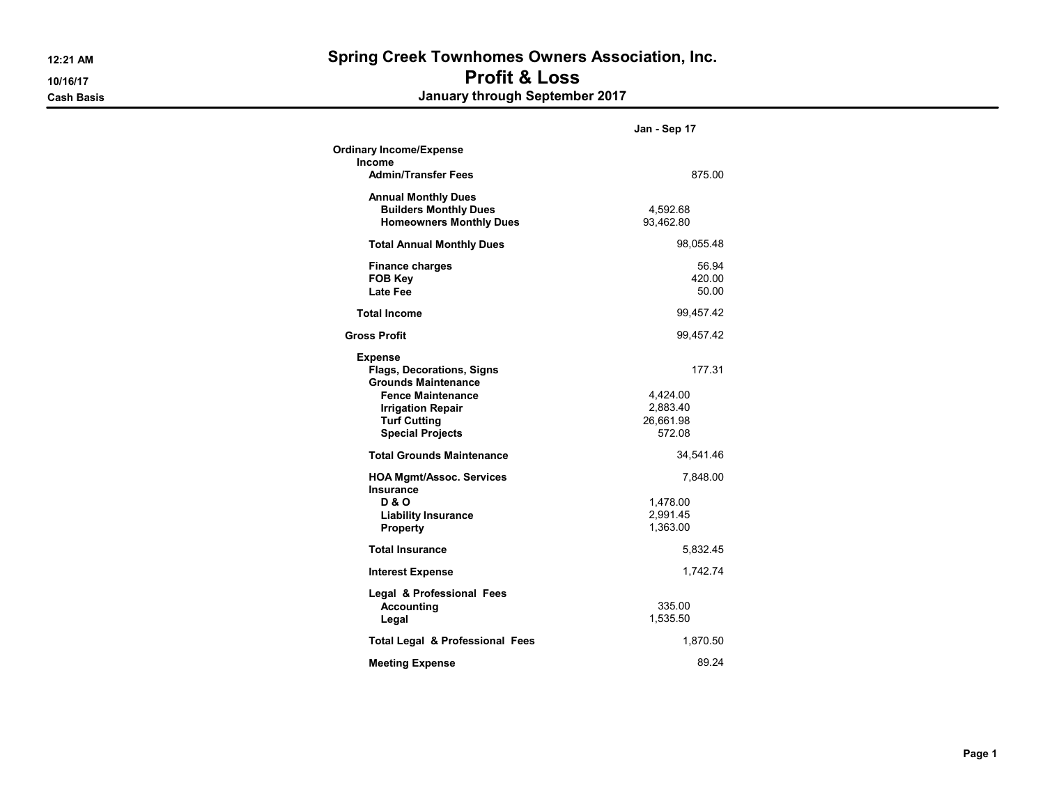12:21 AM Spring Creek Townhomes Owners Association, Inc. 10/16/17 Profit & Loss Cash Basis January through September 2017

|                                                                                                                                                                                            | Jan - Sep 17                                          |
|--------------------------------------------------------------------------------------------------------------------------------------------------------------------------------------------|-------------------------------------------------------|
| <b>Ordinary Income/Expense</b><br>Income<br><b>Admin/Transfer Fees</b>                                                                                                                     | 875.00                                                |
| <b>Annual Monthly Dues</b><br><b>Builders Monthly Dues</b><br><b>Homeowners Monthly Dues</b>                                                                                               | 4,592.68<br>93,462.80                                 |
| <b>Total Annual Monthly Dues</b>                                                                                                                                                           | 98,055.48                                             |
| <b>Finance charges</b><br><b>FOB Key</b><br><b>Late Fee</b>                                                                                                                                | 56.94<br>420.00<br>50.00                              |
| <b>Total Income</b>                                                                                                                                                                        | 99,457.42                                             |
| <b>Gross Profit</b>                                                                                                                                                                        | 99,457.42                                             |
| <b>Expense</b><br><b>Flags, Decorations, Signs</b><br><b>Grounds Maintenance</b><br><b>Fence Maintenance</b><br><b>Irrigation Repair</b><br><b>Turf Cutting</b><br><b>Special Projects</b> | 177.31<br>4,424.00<br>2,883.40<br>26,661.98<br>572.08 |
| <b>Total Grounds Maintenance</b>                                                                                                                                                           | 34,541.46                                             |
| <b>HOA Mgmt/Assoc. Services</b><br><b>Insurance</b><br><b>D&amp;O</b><br><b>Liability Insurance</b><br><b>Property</b>                                                                     | 7,848.00<br>1,478.00<br>2,991.45<br>1,363.00          |
| <b>Total Insurance</b>                                                                                                                                                                     | 5,832.45                                              |
| <b>Interest Expense</b>                                                                                                                                                                    | 1,742.74                                              |
| Legal & Professional Fees<br><b>Accounting</b><br>Legal                                                                                                                                    | 335.00<br>1,535.50                                    |
| <b>Total Legal &amp; Professional Fees</b>                                                                                                                                                 | 1,870.50                                              |
| <b>Meeting Expense</b>                                                                                                                                                                     | 89.24                                                 |